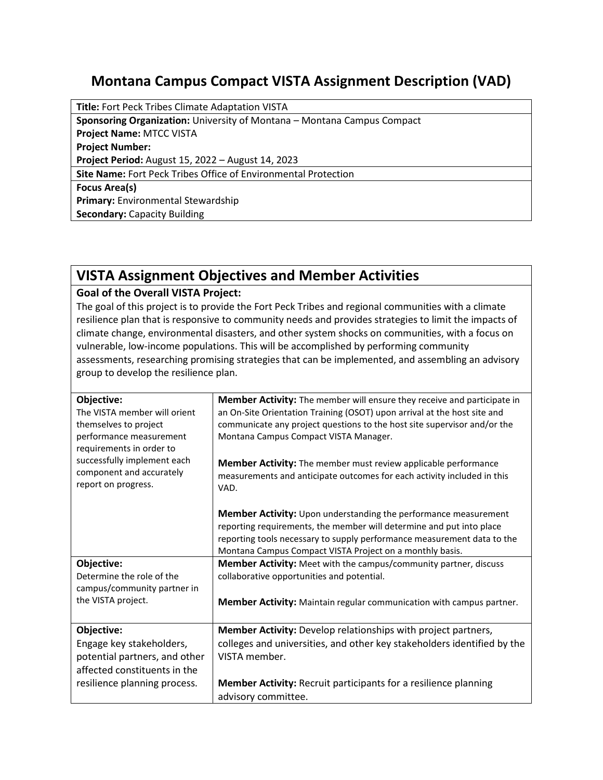## **Montana Campus Compact VISTA Assignment Description (VAD)**

**Title:** Fort Peck Tribes Climate Adaptation VISTA **Sponsoring Organization:** University of Montana – Montana Campus Compact **Project Name:** MTCC VISTA **Project Number: Project Period:** August 15, 2022 – August 14, 2023 **Site Name:** Fort Peck Tribes Office of Environmental Protection **Focus Area(s) Primary:** Environmental Stewardship **Secondary:** Capacity Building

## **VISTA Assignment Objectives and Member Activities**

## **Goal of the Overall VISTA Project:**

The goal of this project is to provide the Fort Peck Tribes and regional communities with a climate resilience plan that is responsive to community needs and provides strategies to limit the impacts of climate change, environmental disasters, and other system shocks on communities, with a focus on vulnerable, low-income populations. This will be accomplished by performing community assessments, researching promising strategies that can be implemented, and assembling an advisory group to develop the resilience plan.

| Objective:<br>The VISTA member will orient<br>themselves to project<br>performance measurement<br>requirements in order to<br>successfully implement each<br>component and accurately<br>report on progress. | Member Activity: The member will ensure they receive and participate in<br>an On-Site Orientation Training (OSOT) upon arrival at the host site and<br>communicate any project questions to the host site supervisor and/or the<br>Montana Campus Compact VISTA Manager.<br>Member Activity: The member must review applicable performance<br>measurements and anticipate outcomes for each activity included in this<br>VAD.<br><b>Member Activity:</b> Upon understanding the performance measurement<br>reporting requirements, the member will determine and put into place |
|--------------------------------------------------------------------------------------------------------------------------------------------------------------------------------------------------------------|---------------------------------------------------------------------------------------------------------------------------------------------------------------------------------------------------------------------------------------------------------------------------------------------------------------------------------------------------------------------------------------------------------------------------------------------------------------------------------------------------------------------------------------------------------------------------------|
|                                                                                                                                                                                                              | reporting tools necessary to supply performance measurement data to the<br>Montana Campus Compact VISTA Project on a monthly basis.                                                                                                                                                                                                                                                                                                                                                                                                                                             |
| Objective:<br>Determine the role of the<br>campus/community partner in<br>the VISTA project.                                                                                                                 | <b>Member Activity:</b> Meet with the campus/community partner, discuss<br>collaborative opportunities and potential.<br>Member Activity: Maintain regular communication with campus partner.                                                                                                                                                                                                                                                                                                                                                                                   |
| Objective:<br>Engage key stakeholders,<br>potential partners, and other<br>affected constituents in the<br>resilience planning process.                                                                      | Member Activity: Develop relationships with project partners,<br>colleges and universities, and other key stakeholders identified by the<br>VISTA member.<br><b>Member Activity: Recruit participants for a resilience planning</b><br>advisory committee.                                                                                                                                                                                                                                                                                                                      |